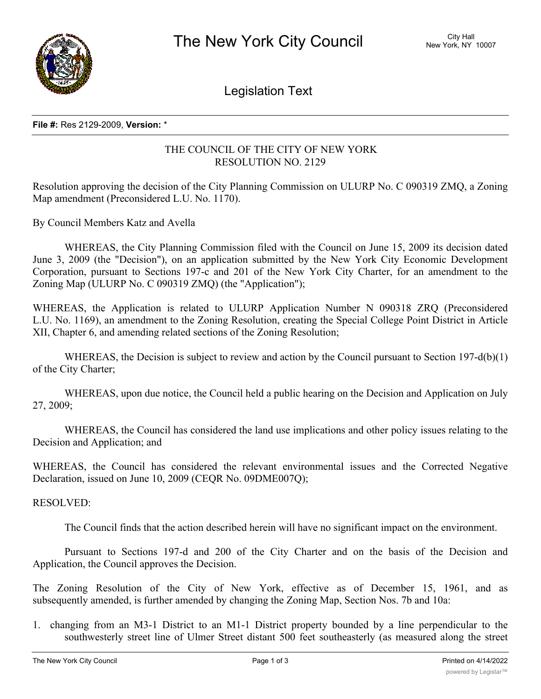

Legislation Text

## **File #:** Res 2129-2009, **Version:** \*

## THE COUNCIL OF THE CITY OF NEW YORK RESOLUTION NO. 2129

Resolution approving the decision of the City Planning Commission on ULURP No. C 090319 ZMQ, a Zoning Map amendment (Preconsidered L.U. No. 1170).

By Council Members Katz and Avella

WHEREAS, the City Planning Commission filed with the Council on June 15, 2009 its decision dated June 3, 2009 (the "Decision"), on an application submitted by the New York City Economic Development Corporation, pursuant to Sections 197-c and 201 of the New York City Charter, for an amendment to the Zoning Map (ULURP No. C 090319 ZMQ) (the "Application");

WHEREAS, the Application is related to ULURP Application Number N 090318 ZRQ (Preconsidered L.U. No. 1169), an amendment to the Zoning Resolution, creating the Special College Point District in Article XII, Chapter 6, and amending related sections of the Zoning Resolution;

WHEREAS, the Decision is subject to review and action by the Council pursuant to Section 197-d(b)(1) of the City Charter;

WHEREAS, upon due notice, the Council held a public hearing on the Decision and Application on July 27, 2009;

WHEREAS, the Council has considered the land use implications and other policy issues relating to the Decision and Application; and

WHEREAS, the Council has considered the relevant environmental issues and the Corrected Negative Declaration, issued on June 10, 2009 (CEQR No. 09DME007Q);

RESOLVED:

The Council finds that the action described herein will have no significant impact on the environment.

Pursuant to Sections 197-d and 200 of the City Charter and on the basis of the Decision and Application, the Council approves the Decision.

The Zoning Resolution of the City of New York, effective as of December 15, 1961, and as subsequently amended, is further amended by changing the Zoning Map, Section Nos. 7b and 10a:

1. changing from an M3-1 District to an M1-1 District property bounded by a line perpendicular to the southwesterly street line of Ulmer Street distant 500 feet southeasterly (as measured along the street

line) from the point of intersection of the southerly street line of 28th Avenue and the southwesterly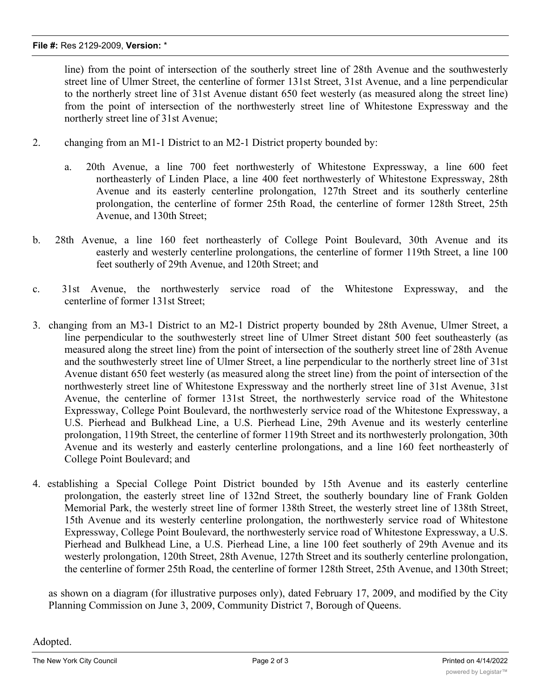line) from the point of intersection of the southerly street line of 28th Avenue and the southwesterly street line of Ulmer Street, the centerline of former 131st Street, 31st Avenue, and a line perpendicular to the northerly street line of 31st Avenue distant 650 feet westerly (as measured along the street line) from the point of intersection of the northwesterly street line of Whitestone Expressway and the northerly street line of 31st Avenue;

- 2. changing from an M1-1 District to an M2-1 District property bounded by:
	- a. 20th Avenue, a line 700 feet northwesterly of Whitestone Expressway, a line 600 feet northeasterly of Linden Place, a line 400 feet northwesterly of Whitestone Expressway, 28th Avenue and its easterly centerline prolongation, 127th Street and its southerly centerline prolongation, the centerline of former 25th Road, the centerline of former 128th Street, 25th Avenue, and 130th Street;
- b. 28th Avenue, a line 160 feet northeasterly of College Point Boulevard, 30th Avenue and its easterly and westerly centerline prolongations, the centerline of former 119th Street, a line 100 feet southerly of 29th Avenue, and 120th Street; and
- c. 31st Avenue, the northwesterly service road of the Whitestone Expressway, and the centerline of former 131st Street;
- 3. changing from an M3-1 District to an M2-1 District property bounded by 28th Avenue, Ulmer Street, a line perpendicular to the southwesterly street line of Ulmer Street distant 500 feet southeasterly (as measured along the street line) from the point of intersection of the southerly street line of 28th Avenue and the southwesterly street line of Ulmer Street, a line perpendicular to the northerly street line of 31st Avenue distant 650 feet westerly (as measured along the street line) from the point of intersection of the northwesterly street line of Whitestone Expressway and the northerly street line of 31st Avenue, 31st Avenue, the centerline of former 131st Street, the northwesterly service road of the Whitestone Expressway, College Point Boulevard, the northwesterly service road of the Whitestone Expressway, a U.S. Pierhead and Bulkhead Line, a U.S. Pierhead Line, 29th Avenue and its westerly centerline prolongation, 119th Street, the centerline of former 119th Street and its northwesterly prolongation, 30th Avenue and its westerly and easterly centerline prolongations, and a line 160 feet northeasterly of College Point Boulevard; and
- 4. establishing a Special College Point District bounded by 15th Avenue and its easterly centerline prolongation, the easterly street line of 132nd Street, the southerly boundary line of Frank Golden Memorial Park, the westerly street line of former 138th Street, the westerly street line of 138th Street, 15th Avenue and its westerly centerline prolongation, the northwesterly service road of Whitestone Expressway, College Point Boulevard, the northwesterly service road of Whitestone Expressway, a U.S. Pierhead and Bulkhead Line, a U.S. Pierhead Line, a line 100 feet southerly of 29th Avenue and its westerly prolongation, 120th Street, 28th Avenue, 127th Street and its southerly centerline prolongation, the centerline of former 25th Road, the centerline of former 128th Street, 25th Avenue, and 130th Street;

as shown on a diagram (for illustrative purposes only), dated February 17, 2009, and modified by the City Planning Commission on June 3, 2009, Community District 7, Borough of Queens.